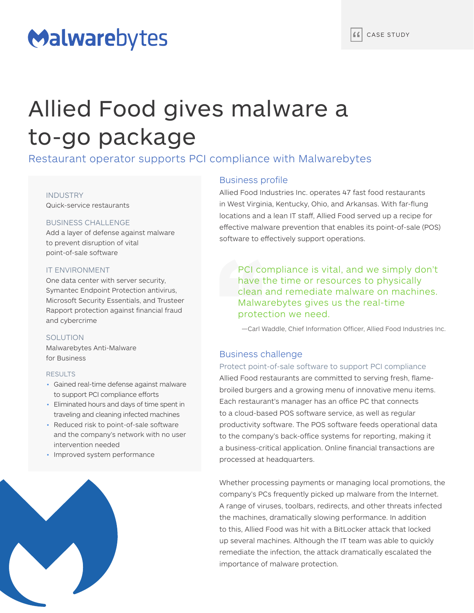# Malwarebytes

# Allied Food gives malware a to-go package

Restaurant operator supports PCI compliance with Malwarebytes

### INDUSTRY

Quick-service restaurants

# BUSINESS CHALLENGE

Add a layer of defense against malware to prevent disruption of vital point-of-sale software

# IT ENVIRONMENT

One data center with server security, Symantec Endpoint Protection antivirus, Microsoft Security Essentials, and Trusteer Rapport protection against financial fraud and cybercrime

# SOLUTION

Malwarebytes Anti-Malware for Business

#### RESULTS

- Gained real-time defense against malware to support PCI compliance efforts
- Eliminated hours and days of time spent in traveling and cleaning infected machines
- Reduced risk to point-of-sale software and the company's network with no user intervention needed
- Improved system performance



# Business profile

Allied Food Industries Inc. operates 47 fast food restaurants in West Virginia, Kentucky, Ohio, and Arkansas. With far-flung locations and a lean IT staff, Allied Food served up a recipe for effective malware prevention that enables its point-of-sale (POS) software to effectively support operations.

PCI compliance is vital, and we simply don't have the time or resources to physically clean and remediate malware on machines. Malwarebytes gives us the real-time protection we need.

—Carl Waddle, Chief Information Officer, Allied Food Industries Inc.

# Business challenge

# Protect point-of-sale software to support PCI compliance

Allied Food restaurants are committed to serving fresh, flamebroiled burgers and a growing menu of innovative menu items. Each restaurant's manager has an office PC that connects to a cloud-based POS software service, as well as regular productivity software. The POS software feeds operational data to the company's back-office systems for reporting, making it a business-critical application. Online financial transactions are processed at headquarters.

Whether processing payments or managing local promotions, the company's PCs frequently picked up malware from the Internet. A range of viruses, toolbars, redirects, and other threats infected the machines, dramatically slowing performance. In addition to this, Allied Food was hit with a BitLocker attack that locked up several machines. Although the IT team was able to quickly remediate the infection, the attack dramatically escalated the importance of malware protection.